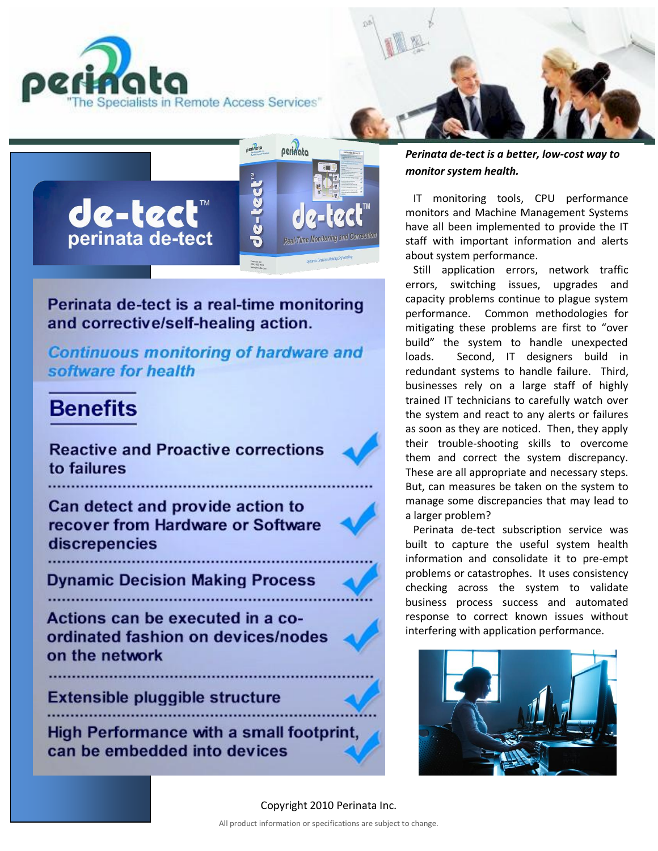



#### Perinata de-tect is a real-time monitoring and corrective/self-healing action.

**Continuous monitoring of hardware and** software for health

### **Benefits**

**Reactive and Proactive corrections** to failures

Can detect and provide action to recover from Hardware or Software discrepencies

**Dynamic Decision Making Process** 

Actions can be executed in a coordinated fashion on devices/nodes on the network

**Extensible pluggible structure** 

High Performance with a small footprint, can be embedded into devices

*Perinata de-tect is a better, low-cost way to monitor system health.*

 IT monitoring tools, CPU performance monitors and Machine Management Systems have all been implemented to provide the IT staff with important information and alerts about system performance.

 Still application errors, network traffic errors, switching issues, upgrades and capacity problems continue to plague system performance. Common methodologies for mitigating these problems are first to "over build" the system to handle unexpected loads. Second, IT designers build in redundant systems to handle failure. Third, businesses rely on a large staff of highly trained IT technicians to carefully watch over the system and react to any alerts or failures as soon as they are noticed. Then, they apply their trouble-shooting skills to overcome them and correct the system discrepancy. These are all appropriate and necessary steps. But, can measures be taken on the system to manage some discrepancies that may lead to a larger problem?

 Perinata de-tect subscription service was built to capture the useful system health information and consolidate it to pre-empt problems or catastrophes. It uses consistency checking across the system to validate business process success and automated response to correct known issues without interfering with application performance.



#### Copyright 2010 Perinata Inc.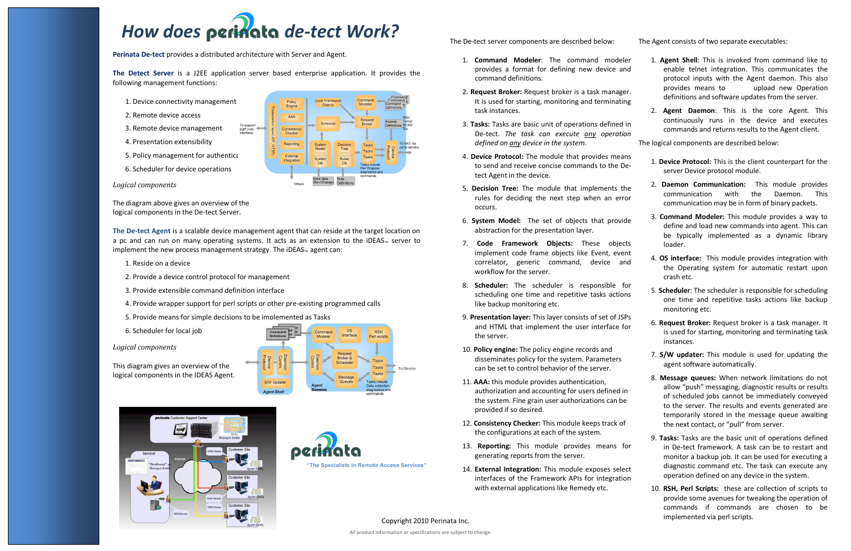# How does perinata de-tect Work?

**Perinata De-tect** provides a distributed architecture with Server and Agent.

**The Detect Server** is a J2EE application server based enterprise application. It provides the following management functions:

**The De-tect Agent** is a scalable device management agent that can reside at the target location on a pc and can run on many operating systems. It acts as an extension to the iDEAS $<sub>m</sub>$  server to</sub> implement the new process management strategy. The iDEAS $<sub>m</sub>$  agent can:</sub>

- 1. Device connectivity management
- 2. Remote device access
- 3. Remote device management
- 4. Presentation extensibility
- 5. Policy management for authentication
- 6. Scheduler for device operations

*Logical components* 

The diagram above gives an overview of the logical components in the De-tect Server.

- 1. Reside on a device
- 2. Provide a device control protocol for management
- 3. Provide extensible command definition interface
- 4. Provide wrapper support for perl scripts or other pre-existing programmed calls
- 5. Provide means for simple decisions to be implemented as Tasks
- 6. Scheduler for local job

*Logical components* 

This diagram gives an overview of the logical components in the IDEAS Agent.





The De-tect server components are described below:

- 1. **Command Modeler**: The command modeler provides a format for defining new device and command definitions. 2. **Request Broker:** Request broker is a task manager. 1. **Agent Shell**: This is invoked from command like to enable telnet integration. This communicates the protocol inputs with the Agent daemon. This also provides means to upload new Operation definitions and software updates from the server.
- It is used for starting, monitoring and terminating task instances.
- 3. **Tasks:** Tasks are basic unit of operations defined in De-tect. *The task can execute any operation defined on any device in the system.*
- 4. **Device Protocol:** The module that provides means to send and receive concise commands to the Detect Agent in the device. 1. **Device Protocol:** This is the client counterpart for the server Device protocol module.
- 5. **Decision Tree:** The module that implements the rules for deciding the next step when an error occurs. 2. **Daemon Communication:** This module provides communication with the Daemon. This communication may be in form of binary packets.
- 6. **System Model:** The set of objects that provide abstraction for the presentation layer. 3. **Command Modeler:** This module provides a way to define and load new commands into agent. This can be typically implemented as a dynamic library loader.
- 7. **Code Framework Objects:** These objects implement code frame objects like Event, event correlator, generic command, device and workflow for the server. 4. **OS interface:** This module provides integration with the Operating system for automatic restart upon crash etc.
- 8. **Scheduler:** The scheduler is responsible for scheduling one time and repetitive tasks actions like backup monitoring etc. 5. **Scheduler**: The scheduler is responsible for scheduling one time and repetitive tasks actions like backup monitoring etc.
- 9. **Presentation layer:** This layer consists of set of JSPs and HTML that implement the user interface for the server.
- 10. **Policy engine:** The policy engine records and disseminates policy for the system. Parameters can be set to control behavior of the server.
- 11. **AAA:** this module provides authentication, authorization and accounting for users defined in the system. Fine grain user authorizations can be provided if so desired.
- 12. **Consistency Checker:** This module keeps track of the configurations at each of the system.
- 13. **Reporting:** This module provides means for generating reports from the server. 14. **External Integration:** This module exposes select 9. **Tasks:** Tasks are the basic unit of operations defined in De-tect framework. A task can be to restart and monitor a backup job. It can be used for executing a diagnostic command etc. The task can execute any operation defined on any device in the system.
- interfaces of the Framework APIs for integration with external applications like Remedy etc.

Copyright 2010 Perinata Inc. All product information or specifications are subject to change.

## AAA To suppor<br>staff (web<br>interface) Consistenc<br>Checker Reporting Externa

ntegratio

The Agent consists of two separate executables:

2. **Agent Daemon**: This is the core Agent. This continuously runs in the device and executes commands and returns results to the Agent client.

The logical components are described below:

- 6. **Request Broker:** Request broker is a task manager. It is used for starting, monitoring and terminating task instances.
	- 7. **S/W updater:** This module is used for updating the agent software automatically.
	- 8. **Message queues:** When network limitations do not allow "push" messaging, diagnostic results or results of scheduled jobs cannot be immediately conveyed to the server. The results and events generated are temporarily stored in the message queue awaiting the next contact, or "pull" from server.

10. **RSH, Perl Scripts:** these are collection of scripts to provide some avenues for tweaking the operation of commands if commands are chosen to be implemented via perl scripts.